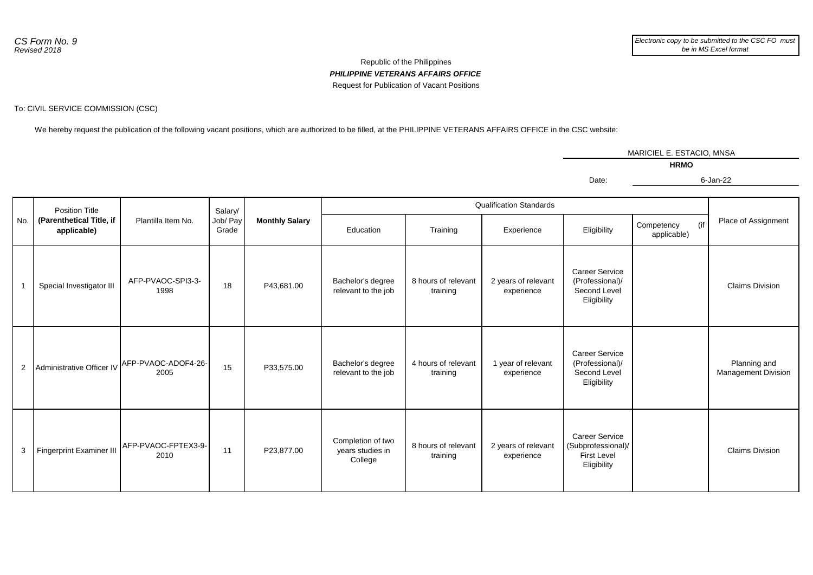## *PHILIPPINE VETERANS AFFAIRS OFFICE* Republic of the Philippines Request for Publication of Vacant Positions

## To: CIVIL SERVICE COMMISSION (CSC)

We hereby request the publication of the following vacant positions, which are authorized to be filled, at the PHILIPPINE VETERANS AFFAIRS OFFICE in the CSC website:

|                |                                                                  |                             |                              |                       |                                                  |                                 |                                   | MARICIEL E. ESTACIO, MNSA                                                        |                           |     |                                            |  |
|----------------|------------------------------------------------------------------|-----------------------------|------------------------------|-----------------------|--------------------------------------------------|---------------------------------|-----------------------------------|----------------------------------------------------------------------------------|---------------------------|-----|--------------------------------------------|--|
|                |                                                                  |                             |                              |                       | <b>HRMO</b>                                      |                                 |                                   |                                                                                  |                           |     |                                            |  |
|                |                                                                  |                             |                              |                       |                                                  |                                 |                                   | Date:                                                                            |                           |     | 6-Jan-22                                   |  |
|                |                                                                  |                             |                              |                       |                                                  |                                 |                                   |                                                                                  |                           |     |                                            |  |
| No.            | <b>Position Title</b><br>(Parenthetical Title, if<br>applicable) | Plantilla Item No.          | Salary/<br>Job/ Pay<br>Grade | <b>Monthly Salary</b> | <b>Qualification Standards</b>                   |                                 |                                   |                                                                                  |                           |     |                                            |  |
|                |                                                                  |                             |                              |                       | Education                                        | Training                        | Experience                        | Eligibility                                                                      | Competency<br>applicable) | (if | Place of Assignment                        |  |
| $\mathbf{1}$   | Special Investigator III                                         | AFP-PVAOC-SPI3-3-<br>1998   | 18                           | P43,681.00            | Bachelor's degree<br>relevant to the job         | 8 hours of relevant<br>training | 2 years of relevant<br>experience | <b>Career Service</b><br>(Professional)/<br>Second Level<br>Eligibility          |                           |     | <b>Claims Division</b>                     |  |
| $\overline{c}$ | Administrative Officer IV                                        | AFP-PVAOC-ADOF4-26-<br>2005 | 15                           | P33,575.00            | Bachelor's degree<br>relevant to the job         | 4 hours of relevant<br>training | 1 year of relevant<br>experience  | <b>Career Service</b><br>(Professional)/<br>Second Level<br>Eligibility          |                           |     | Planning and<br><b>Management Division</b> |  |
| 3              | Fingerprint Examiner III                                         | AFP-PVAOC-FPTEX3-9-<br>2010 | 11                           | P23,877.00            | Completion of two<br>years studies in<br>College | 8 hours of relevant<br>training | 2 years of relevant<br>experience | <b>Career Service</b><br>(Subprofessional)/<br><b>First Level</b><br>Eligibility |                           |     | <b>Claims Division</b>                     |  |